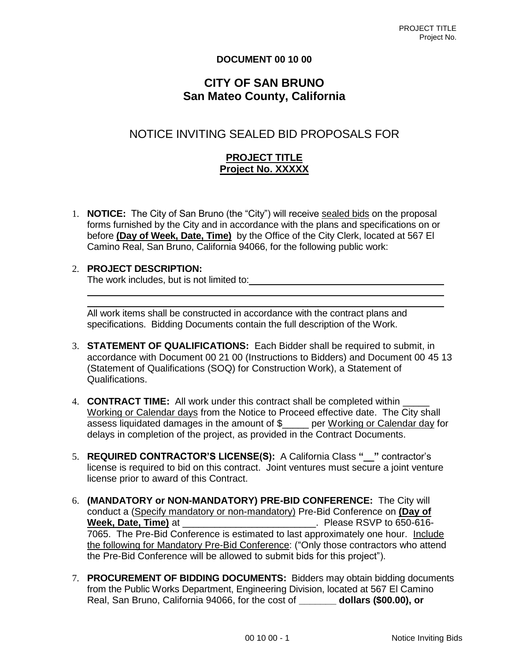#### **DOCUMENT 00 10 00**

## **CITY OF SAN BRUNO San Mateo County, California**

# NOTICE INVITING SEALED BID PROPOSALS FOR

### **PROJECT TITLE Project No. XXXXX**

1. **NOTICE:** The City of San Bruno (the "City") will receive sealed bids on the proposal forms furnished by the City and in accordance with the plans and specifications on or before **(Day of Week, Date, Time)** by the Office of the City Clerk, located at 567 El Camino Real, San Bruno, California 94066, for the following public work:

#### 2. **PROJECT DESCRIPTION:**

The work includes, but is not limited to:

All work items shall be constructed in accordance with the contract plans and specifications. Bidding Documents contain the full description of the Work.

- 3. **STATEMENT OF QUALIFICATIONS:** Each Bidder shall be required to submit, in accordance with Document 00 21 00 (Instructions to Bidders) and Document 00 45 13 (Statement of Qualifications (SOQ) for Construction Work), a Statement of Qualifications.
- 4. **CONTRACT TIME:** All work under this contract shall be completed within Working or Calendar days from the Notice to Proceed effective date. The City shall assess liquidated damages in the amount of \$\_\_\_\_\_ per Working or Calendar day for delays in completion of the project, as provided in the Contract Documents.
- 5. **REQUIRED CONTRACTOR'S LICENSE(S):** A California Class **"\_\_"** contractor's license is required to bid on this contract. Joint ventures must secure a joint venture license prior to award of this Contract.
- 6. **(MANDATORY or NON-MANDATORY) PRE-BID CONFERENCE:** The City will conduct a (Specify mandatory or non-mandatory) Pre-Bid Conference on **(Day of Week, Date, Time)** at \_\_\_\_\_\_\_\_\_\_\_\_\_\_\_\_\_\_\_\_\_\_\_\_\_. Please RSVP to 650-616- 7065. The Pre-Bid Conference is estimated to last approximately one hour. Include the following for Mandatory Pre-Bid Conference: ("Only those contractors who attend the Pre-Bid Conference will be allowed to submit bids for this project").
- 7. **PROCUREMENT OF BIDDING DOCUMENTS:** Bidders may obtain bidding documents from the Public Works Department, Engineering Division, located at 567 El Camino Real, San Bruno, California 94066, for the cost of **\_\_\_\_\_\_\_ dollars (\$00.00), or**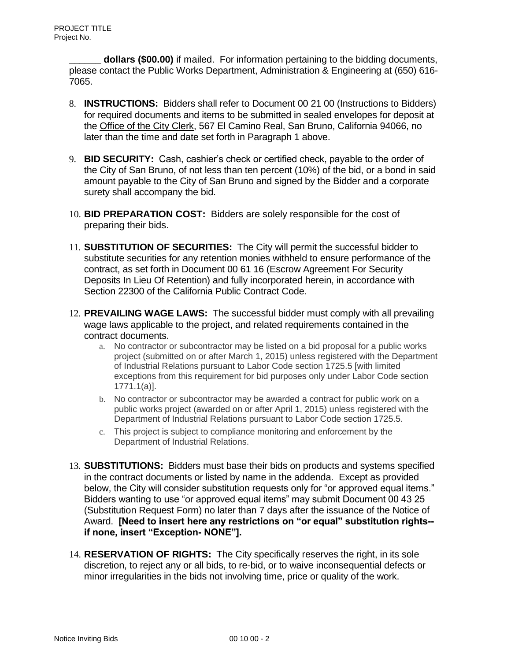**dollars (\$00.00)** if mailed. For information pertaining to the bidding documents, please contact the Public Works Department, Administration & Engineering at (650) 616- 7065.

- 8. **INSTRUCTIONS:** Bidders shall refer to Document 00 21 00 (Instructions to Bidders) for required documents and items to be submitted in sealed envelopes for deposit at the Office of the City Clerk, 567 El Camino Real, San Bruno, California 94066, no later than the time and date set forth in Paragraph 1 above.
- 9. **BID SECURITY:** Cash, cashier's check or certified check, payable to the order of the City of San Bruno, of not less than ten percent (10%) of the bid, or a bond in said amount payable to the City of San Bruno and signed by the Bidder and a corporate surety shall accompany the bid.
- 10. **BID PREPARATION COST:** Bidders are solely responsible for the cost of preparing their bids.
- 11. **SUBSTITUTION OF SECURITIES:** The City will permit the successful bidder to substitute securities for any retention monies withheld to ensure performance of the contract, as set forth in Document 00 61 16 (Escrow Agreement For Security Deposits In Lieu Of Retention) and fully incorporated herein, in accordance with Section 22300 of the California Public Contract Code.
- 12. **PREVAILING WAGE LAWS:** The successful bidder must comply with all prevailing wage laws applicable to the project, and related requirements contained in the contract documents.
	- a. No contractor or subcontractor may be listed on a bid proposal for a public works project (submitted on or after March 1, 2015) unless registered with the Department of Industrial Relations pursuant to Labor Code section 1725.5 [with limited exceptions from this requirement for bid purposes only under Labor Code section 1771.1(a)].
	- b. No contractor or subcontractor may be awarded a contract for public work on a public works project (awarded on or after April 1, 2015) unless registered with the Department of Industrial Relations pursuant to Labor Code section 1725.5.
	- c. This project is subject to compliance monitoring and enforcement by the Department of Industrial Relations.
- 13. **SUBSTITUTIONS:** Bidders must base their bids on products and systems specified in the contract documents or listed by name in the addenda. Except as provided below, the City will consider substitution requests only for "or approved equal items." Bidders wanting to use "or approved equal items" may submit Document 00 43 25 (Substitution Request Form) no later than 7 days after the issuance of the Notice of Award. **[Need to insert here any restrictions on "or equal" substitution rights- if none, insert "Exception- NONE"].**
- 14. **RESERVATION OF RIGHTS:** The City specifically reserves the right, in its sole discretion, to reject any or all bids, to re-bid, or to waive inconsequential defects or minor irregularities in the bids not involving time, price or quality of the work.